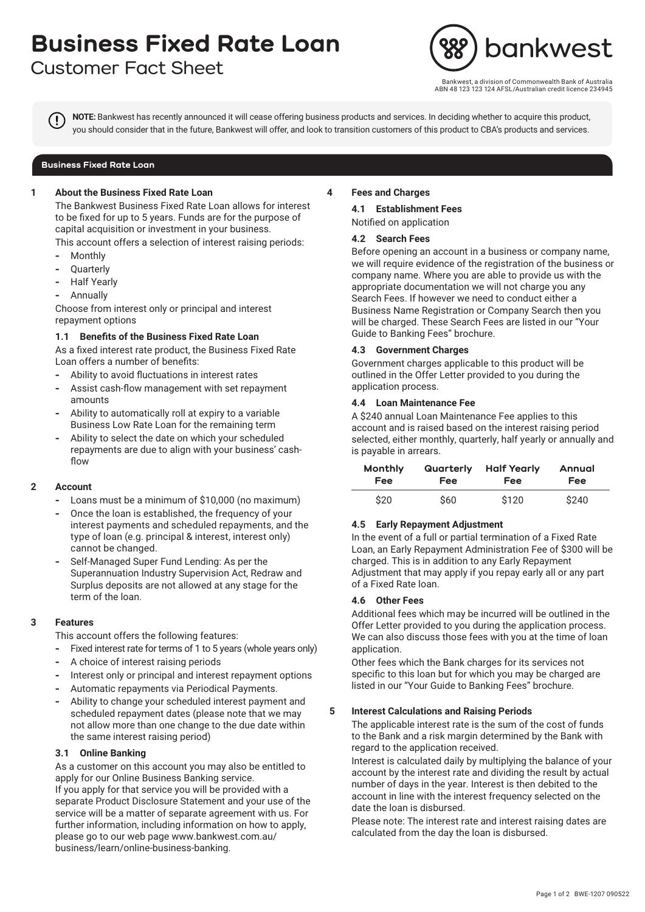# **Business Fixed Rate Loan**

# **Customer Fact Sheet**



vest, a division of Commonwealth Bank of Australia ABN 48 123 123 124 AFSL/Australian credit licence 234945

**NOTE:** Bankwest has recently announced it will cease offering business products and services. In deciding whether to acquire this product, you should consider that in the future, Bankwest will offer, and look to transition customers of this product to CBA's products and services.

#### **Business Fixed Rate Loan**

#### **1 About the Business Fixed Rate Loan**

The Bankwest Business Fixed Rate Loan allows for interest to be fixed for up to 5 years. Funds are for the purpose of capital acquisition or investment in your business.

This account offers a selection of interest raising periods:

- **-** Monthly
- **-** Quarterly
- **-** Half Yearly
- **-** Annually

Choose from interest only or principal and interest repayment options

#### **1.1 Benefits of the Business Fixed Rate Loan**

As a fixed interest rate product, the Business Fixed Rate Loan offers a number of benefits:

- **-** Ability to avoid fluctuations in interest rates
- **-** Assist cash-flow management with set repayment amounts
- **-** Ability to automatically roll at expiry to a variable Business Low Rate Loan for the remaining term
- **-** Ability to select the date on which your scheduled repayments are due to align with your business' cashflow

#### **2 Account**

- **-** Loans must be a minimum of \$10,000 (no maximum)
- **-** Once the loan is established, the frequency of your interest payments and scheduled repayments, and the type of loan (e.g. principal & interest, interest only) cannot be changed.
- **-** Self-Managed Super Fund Lending: As per the Superannuation Industry Supervision Act, Redraw and Surplus deposits are not allowed at any stage for the term of the loan.

# **3 Features**

This account offers the following features:

- **-** Fixed interest rate for terms of 1 to 5 years (whole years only)
- **-** A choice of interest raising periods
- **-** Interest only or principal and interest repayment options
- **-** Automatic repayments via Periodical Payments.
- **-** Ability to change your scheduled interest payment and scheduled repayment dates (please note that we may not allow more than one change to the due date within the same interest raising period)

# **3.1 Online Banking**

As a customer on this account you may also be entitled to apply for our Online Business Banking service. If you apply for that service you will be provided with a separate Product Disclosure Statement and your use of the service will be a matter of separate agreement with us. For further information, including information on how to apply, please go to our web page www.bankwest.com.au/ business/learn/online-business-banking.

#### **4 Fees and Charges**

**4.1 Establishment Fees**

Notified on application

#### **4.2 Search Fees**

Before opening an account in a business or company name, we will require evidence of the registration of the business or company name. Where you are able to provide us with the appropriate documentation we will not charge you any Search Fees. If however we need to conduct either a Business Name Registration or Company Search then you will be charged. These Search Fees are listed in our "Your Guide to Banking Fees" brochure.

#### **4.3 Government Charges**

Government charges applicable to this product will be outlined in the Offer Letter provided to you during the application process.

### **4.4 Loan Maintenance Fee**

A \$240 annual Loan Maintenance Fee applies to this account and is raised based on the interest raising period selected, either monthly, quarterly, half yearly or annually and is payable in arrears.

| Monthly<br><b>Fee</b> | <b>Fee</b> | <b>Quarterly</b> Half Yearly<br>Fee | <b>Annual</b><br><b>Fee</b> |  |
|-----------------------|------------|-------------------------------------|-----------------------------|--|
| \$20                  | \$60       | \$120                               | \$240                       |  |

# **4.5 Early Repayment Adjustment**

In the event of a full or partial termination of a Fixed Rate Loan, an Early Repayment Administration Fee of \$300 will be charged. This is in addition to any Early Repayment Adjustment that may apply if you repay early all or any part of a Fixed Rate loan.

# **4.6 Other Fees**

Additional fees which may be incurred will be outlined in the Offer Letter provided to you during the application process. We can also discuss those fees with you at the time of loan application.

Other fees which the Bank charges for its services not specific to this loan but for which you may be charged are listed in our "Your Guide to Banking Fees" brochure.

# **5 Interest Calculations and Raising Periods**

The applicable interest rate is the sum of the cost of funds to the Bank and a risk margin determined by the Bank with regard to the application received.

Interest is calculated daily by multiplying the balance of your account by the interest rate and dividing the result by actual number of days in the year. Interest is then debited to the account in line with the interest frequency selected on the date the loan is disbursed.

Please note: The interest rate and interest raising dates are calculated from the day the loan is disbursed.